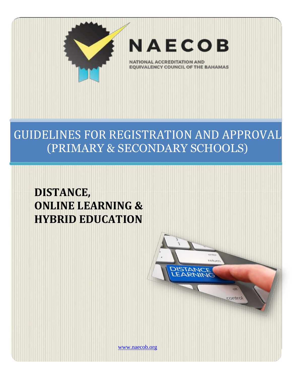

# GUIDELINES FOR REGISTRATION AND APPROVAL (PRIMARY & SECONDARY SCHOOLS)

# **DISTANCE, ONLINE LEARNING & HYBRID EDUCATION**

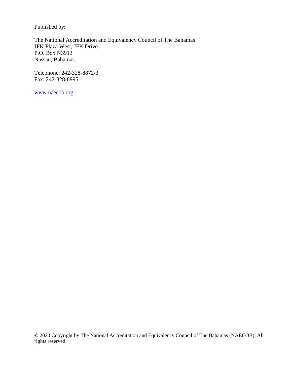Published by:

The National Accreditation and Equivalency Council of The Bahamas JFK Plaza West, JFK Drive P.O. Box N3913 Nassau, Bahamas.

Telephone: 242-328-8872/3 Fax: 242-328-8995

[www.naecob.org](http://www.naecob.org/)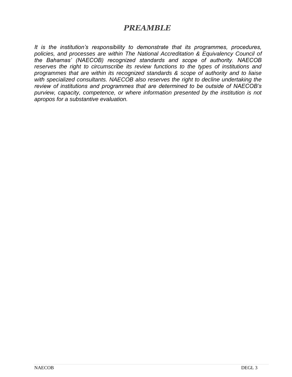### *PREAMBLE*

*It is the institution's responsibility to demonstrate that its programmes, procedures, policies, and processes are within The National Accreditation & Equivalency Council of the Bahamas' (NAECOB) recognized standards and scope of authority. NAECOB reserves the right to circumscribe its review functions to the types of institutions and programmes that are within its recognized standards & scope of authority and to liaise with specialized consultants. NAECOB also reserves the right to decline undertaking the review of institutions and programmes that are determined to be outside of NAECOB's purview, capacity, competence, or where information presented by the institution is not apropos for a substantive evaluation.*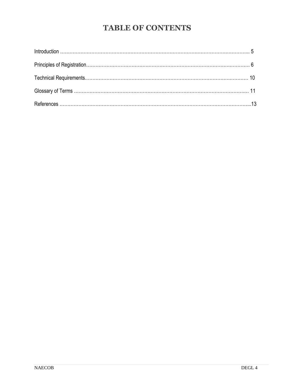# **TABLE OF CONTENTS**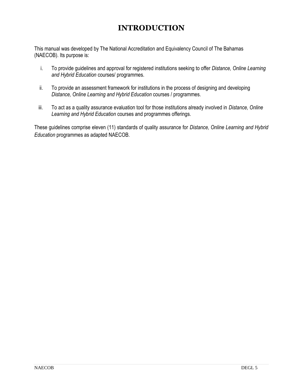# **INTRODUCTION**

This manual was developed by The National Accreditation and Equivalency Council of The Bahamas (NAECOB). Its purpose is:

- i. To provide guidelines and approval for registered institutions seeking to offer *Distance, Online Learning and Hybrid Education* courses/ programmes.
- ii. To provide an assessment framework for institutions in the process of designing and developing *Distance, Online Learning and Hybrid Education* courses / programmes.
- iii. To act as a quality assurance evaluation tool for those institutions already involved in *Distance, Online Learning and Hybrid Education* courses and programmes offerings.

These guidelines comprise eleven (11) standards of quality assurance for *Distance, Online Learning and Hybrid Education* programmes as adapted NAECOB.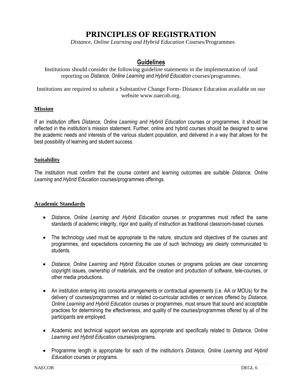## **PRINCIPLES OF REGISTRATION**

*Distance, Online Learning and Hybrid Education* Courses/Programmes

#### **Guidelines**

Institutions should consider the following guideline statements in the implementation of /and reporting on *Distance, Online Learning and Hybrid Education* courses/programmes.

Institutions are required to submit a Substantive Change Form- Distance Education available on our website www.naecob.org.

#### **Mission**

If an institution offers *Distance, Online Learning and Hybrid Education* courses or programmes, it should be reflected in the institution's mission statement. Further, online and hybrid courses should be designed to serve the academic needs and interests of the various student population, and delivered in a way that allows for the best possibility of learning and student success.

#### **Suitability**

The institution must confirm that the course content and learning outcomes are suitable *Distance, Online Learning and Hybrid Education* courses/programmes offerings.

#### **Academic Standards**

- *Distance, Online Learning and Hybrid Education* courses or programmes must reflect the same standards of academic integrity, rigor and quality of instruction as traditional classroom-based courses.
- The technology used must be appropriate to the nature, structure and objectives of the courses and programmes, and expectations concerning the use of such technology are clearly communicated to students.
- *Distance, Online Learning and Hybrid Education* courses or programs policies are clear concerning copyright issues, ownership of materials, and the creation and production of software, tele-courses, or other media productions.
- An institution entering into consortia arrangements or contractual agreements (i.e. AA or MOUs) for the delivery of courses/programmes and or related co-curricular activities or services offered by *Distance, Online Learning and Hybrid Education* courses or programmes, must ensure that sound and acceptable practices for determining the effectiveness, and quality of the courses/programmes offered by all of the participants are employed.
- Academic and technical support services are appropriate and specifically related to *Distance, Online Learning and Hybrid Education* courses/programs.
- Programme length is appropriate for each of the institution's *Distance, Online Learning and Hybrid Education* courses or programs.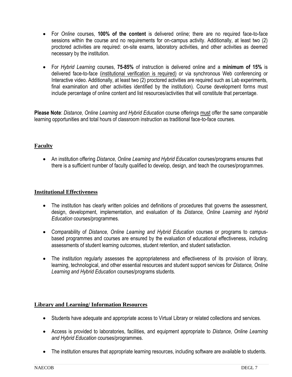- For *Online* courses, **100% of the content** is delivered online; there are no required face-to-face sessions within the course and no requirements for on-campus activity. Additionally, at least two (2) proctored activities are required: on-site exams, laboratory activities, and other activities as deemed necessary by the institution.
- For *Hybrid Learning* courses, **75-85%** of instruction is delivered online and a **minimum of 15%** is delivered face-to-face (institutional verification is required) or via synchronous Web conferencing or Interactive video. Additionally, at least two (2) proctored activities are required such as Lab experiments, final examination and other activities identified by the institution). Course development forms must include percentage of online content and list resources/activities that will constitute that percentage.

**Please Note**: *Distance, Online Learning and Hybrid Education* course offerings must offer the same comparable learning opportunities and total hours of classroom instruction as traditional face-to-face courses.

#### **Faculty**

 An institution offering *Distance, Online Learning and Hybrid Education* courses/programs ensures that there is a sufficient number of faculty qualified to develop, design, and teach the courses/programmes.

#### **Institutional Effectiveness**

- The institution has clearly written policies and definitions of procedures that governs the assessment, design, development, implementation, and evaluation of its *Distance, Online Learning and Hybrid Education* courses/programmes.
- Comparability of *Distance, Online Learning and Hybrid Education* courses or programs to campusbased programmes and courses are ensured by the evaluation of educational effectiveness, including assessments of student learning outcomes, student retention, and student satisfaction.
- The institution regularly assesses the appropriateness and effectiveness of its provision of library, learning, technological, and other essential resources and student support services for *Distance, Online Learning and Hybrid Education* courses/programs students.

#### **Library and Learning/ Information Resources**

- Students have adequate and appropriate access to Virtual Library or related collections and services.
- Access is provided to laboratories, facilities, and equipment appropriate to *Distance, Online Learning and Hybrid Education* courses/programmes.
- The institution ensures that appropriate learning resources, including software are available to students.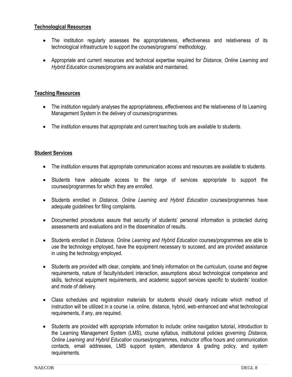#### **Technological Resources**

- The institution regularly assesses the appropriateness, effectiveness and relativeness of its technological infrastructure to support the courses/programs' methodology.
- Appropriate and current resources and technical expertise required for *Distance, Online Learning and Hybrid Education* courses/programs are available and maintained.

#### **Teaching Resources**

- The institution regularly analyses the appropriateness, effectiveness and the relativeness of its Learning Management System in the delivery of courses/programmes.
- The institution ensures that appropriate and current teaching tools are available to students.

#### **Student Services**

- The institution ensures that appropriate communication access and resources are available to students.
- Students have adequate access to the range of services appropriate to support the courses/programmes for which they are enrolled.
- Students enrolled in *Distance, Online Learning and Hybrid Education* courses/programmes have adequate guidelines for filing complaints.
- Documented procedures assure that security of students' personal information is protected during assessments and evaluations and in the dissemination of results.
- Students enrolled in *Distance, Online Learning and Hybrid Education* courses/programmes are able to use the technology employed, have the equipment necessary to succeed, and are provided assistance in using the technology employed.
- Students are provided with clear, complete, and timely information on the curriculum, course and degree requirements, nature of faculty/student interaction, assumptions about technological competence and skills, technical equipment requirements, and academic support services specific to students' location and mode of delivery.
- Class schedules and registration materials for students should clearly indicate which method of instruction will be utilized in a course i.e. online, distance, hybrid, web-enhanced and what technological requirements, if any, are required.
- Students are provided with appropriate information to include: online navigation tutorial, introduction to the Learning Management System (LMS), course syllabus, institutional policies governing *Distance, Online Learning and Hybrid Education* courses/programmes, instructor office hours and communication contacts, email addresses, LMS support system, attendance & grading policy, and system requirements.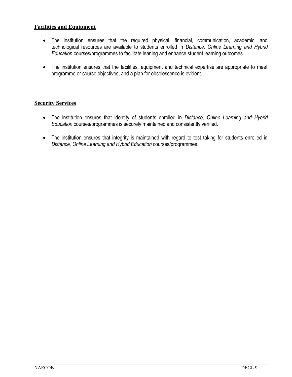#### **Facilities and Equipment**

- The institution ensures that the required physical, financial, communication, academic, and technological resources are available to students enrolled in *Distance, Online Learning and Hybrid Education* courses/programmes to facilitate leaning and enhance student learning outcomes.
- The institution ensures that the facilities, equipment and technical expertise are appropriate to meet programme or course objectives, and a plan for obsolescence is evident.

#### **Security Services**

- The institution ensures that identity of students enrolled in *Distance, Online Learning and Hybrid Education* courses/programmes is securely maintained and consistently verified.
- The institution ensures that integrity is maintained with regard to test taking for students enrolled in *Distance, Online Learning and Hybrid Education* courses/programmes.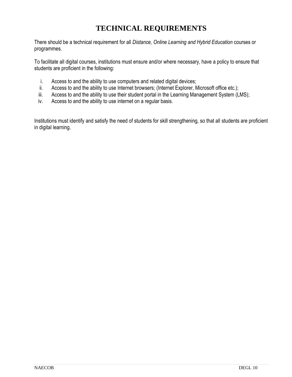## **TECHNICAL REQUIREMENTS**

There should be a technical requirement for all *Distance, Online Learning and Hybrid Education* courses or programmes.

To facilitate all digital courses, institutions must ensure and/or where necessary, have a policy to ensure that students are proficient in the following:

- i. Access to and the ability to use computers and related digital devices;
- ii. Access to and the ability to use Internet browsers; (Internet Explorer, Microsoft office etc.);
- iii. Access to and the ability to use their student portal in the Learning Management System (LMS);
- iv. Access to and the ability to use internet on a regular basis.

Institutions must identify and satisfy the need of students for skill strengthening, so that all students are proficient in digital learning.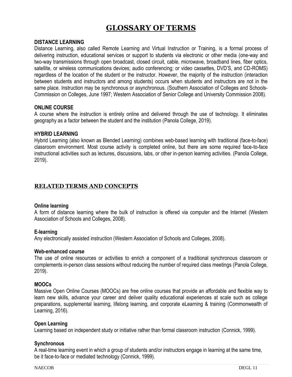## **GLOSSARY OF TERMS**

#### **DISTANCE LEARNING**

Distance Learning, also called Remote Learning and Virtual Instruction or Training, is a formal process of delivering instruction, educational services or support to students via electronic or other media (one-way and two-way transmissions through open broadcast, closed circuit, cable, microwave, broadband lines, fiber optics, satellite, or wireless communications devices; audio conferencing; or video cassettes, DVD'S, and CD-ROMS) regardless of the location of the student or the instructor. However, the majority of the instruction (interaction between students and instructors and among students) occurs when students and instructors are not in the same place. Instruction may be synchronous or asynchronous. (Southern Association of Colleges and Schools-Commission on Colleges, June 1997; Western Association of Senior College and University Commission 2008).

#### **ONLINE COURSE**

A course where the instruction is entirely online and delivered through the use of technology. It eliminates geography as a factor between the student and the institution (Panola College, 2019).

#### **HYBRID LEARNING**

Hybrid Learning (also known as Blended Learning) combines web-based learning with traditional (face-to-face) classroom environment. Most course activity is completed online, but there are some required face-to-face instructional activities such as lectures, discussions, labs, or other in-person learning activities. (Panola College, 2019).

#### **RELATED TERMS AND CONCEPTS**

#### **Online learning**

A form of distance learning where the bulk of instruction is offered via computer and the Internet (Western Association of Schools and Colleges, 2008).

#### **E-learning**

Any electronically assisted instruction (Western Association of Schools and Colleges, 2008).

#### **Web-enhanced course**

The use of online resources or activities to enrich a component of a traditional synchronous classroom or complements in-person class sessions without reducing the number of required class meetings (Panola College, 2019).

#### **MOOCs**

Massive Open Online Courses (MOOCs) are [free online courses](https://www.edx.org/?utm_campaign=Mooc.org&utm_source=Mooc.org&utm_medium=Mooc.org-Intro&utm_content=Free-Online-Courses) that provide an affordable and flexible way to learn new skills, advance your career and deliver quality educational experiences at scale such as college preparations, supplemental learning, lifelong learning, and corporate eLearning & training (Commonwealth of Learning, 2016).

#### **Open Learning**

Learning based on independent study or initiative rather than formal classroom instruction (Connick, 1999).

#### **Synchronous**

A real-time learning event in which a group of students and/or instructors engage in learning at the same time, be it face-to-face or mediated technology (Connick, 1999).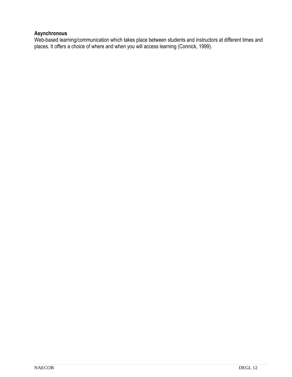#### **Asynchronous**

Web-based learning/communication which takes place between students and instructors at different times and places. It offers a choice of where and when you will access learning (Connick, 1999).